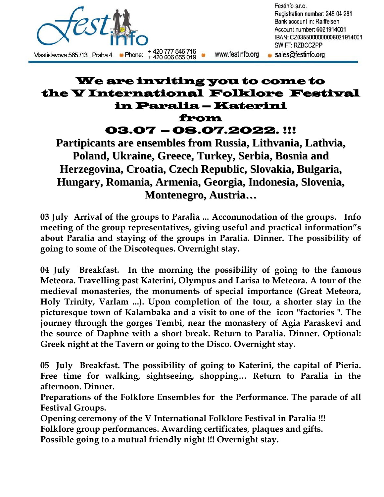

## We are inviting you to come to the V International Folklore Festival in Paralia – Katerini from

03.07 – 08.07.2022. !!!

**Partipicants are ensembles from Russia, Lithvania, Lathvia, Poland, Ukraine, Greece, Turkey, Serbia, Bosnia and Herzegovina, Croatia, Czech Republic, Slovakia, Bulgaria, Hungary, Romania, Armenia, Georgia, Indonesia, Slovenia, Montenegro, Austria…**

**03 July Arrival of the groups to Paralia ... Accommodation of the groups. Info meeting of the group representatives, giving useful and practical information"s about Paralia and staying of the groups in Paralia. Dinner. The possibility of going to some of the Discoteques. Overnight stay.**

**04 July Breakfast. In the morning the possibility of going to the famous Meteora. Travelling past Katerini, Olympus and Larisa to Meteora. A tour of the medieval monasteries, the monuments of special importance (Great Meteora, Holy Trinity, Varlam ...). Upon completion of the tour, a shorter stay in the picturesque town of Kalambaka and a visit to one of the icon "factories ". The journey through the gorges Tembi, near the monastery of Agia Paraskevi and the source of Daphne with a short break. Return to Paralia. Dinner. Optional: Greek night at the Tavern or going to the Disco. Overnight stay.**

**05 July Breakfast. The possibility of going to Katerini, the capital of Pieria. Free time for walking, sightseeing, shopping… Return to Paralia in the afternoon. Dinner.** 

**Preparations of the Folklore Ensembles for the Performance. The parade of all Festival Groups.** 

**Opening ceremony of the V International Folklore Festival in Paralia !!!** 

**Folklore group performances. Awarding certificates, plaques and gifts.** 

**Possible going to a mutual friendly night !!! Overnight stay.**